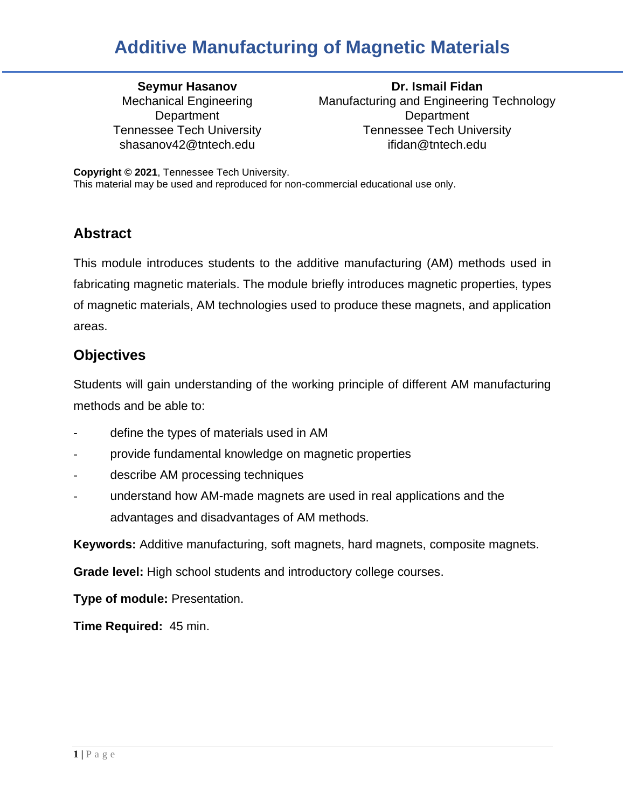Mechanical Engineering **Department** 

**Seymur Hasanov Dr. Ismail Fidan** Manufacturing and Engineering Technology **Department** Tennessee Tech University Tennessee Tech University shasanov42@tntech.edu ifidan@tntech.edu

**Copyright © 2021**, Tennessee Tech University. This material may be used and reproduced for non-commercial educational use only.

### **Abstract**

This module introduces students to the additive manufacturing (AM) methods used in fabricating magnetic materials. The module briefly introduces magnetic properties, types of magnetic materials, AM technologies used to produce these magnets, and application areas.

### **Objectives**

Students will gain understanding of the working principle of different AM manufacturing methods and be able to:

- define the types of materials used in AM
- provide fundamental knowledge on magnetic properties
- describe AM processing techniques
- understand how AM-made magnets are used in real applications and the advantages and disadvantages of AM methods.

**Keywords:** Additive manufacturing, soft magnets, hard magnets, composite magnets.

**Grade level:** High school students and introductory college courses.

**Type of module:** Presentation.

**Time Required:** 45 min.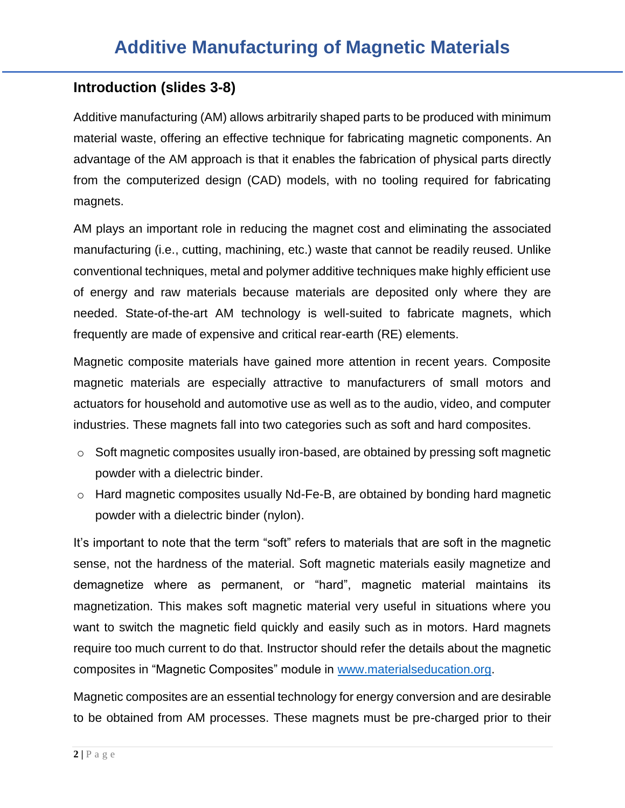### **Introduction (slides 3-8)**

Additive manufacturing (AM) allows arbitrarily shaped parts to be produced with minimum material waste, offering an effective technique for fabricating magnetic components. An advantage of the AM approach is that it enables the fabrication of physical parts directly from the computerized design (CAD) models, with no tooling required for fabricating magnets.

AM plays an important role in reducing the magnet cost and eliminating the associated manufacturing (i.e., cutting, machining, etc.) waste that cannot be readily reused. Unlike conventional techniques, metal and polymer additive techniques make highly efficient use of energy and raw materials because materials are deposited only where they are needed. State-of-the-art AM technology is well-suited to fabricate magnets, which frequently are made of expensive and critical rear-earth (RE) elements.

Magnetic composite materials have gained more attention in recent years. Composite magnetic materials are especially attractive to manufacturers of small motors and actuators for household and automotive use as well as to the audio, video, and computer industries. These magnets fall into two categories such as soft and hard composites.

- o Soft magnetic composites usually iron-based, are obtained by pressing soft magnetic powder with a dielectric binder.
- o Hard magnetic composites usually Nd-Fe-B, are obtained by bonding hard magnetic powder with a dielectric binder (nylon).

It's important to note that the term "soft" refers to materials that are soft in the magnetic sense, not the hardness of the material. Soft magnetic materials easily magnetize and demagnetize where as permanent, or "hard", magnetic material maintains its magnetization. This makes soft magnetic material very useful in situations where you want to switch the magnetic field quickly and easily such as in motors. Hard magnets require too much current to do that. Instructor should refer the details about the magnetic composites in "Magnetic Composites" module in [www.materialseducation.org.](about:blank)

Magnetic composites are an essential technology for energy conversion and are desirable to be obtained from AM processes. These magnets must be pre-charged prior to their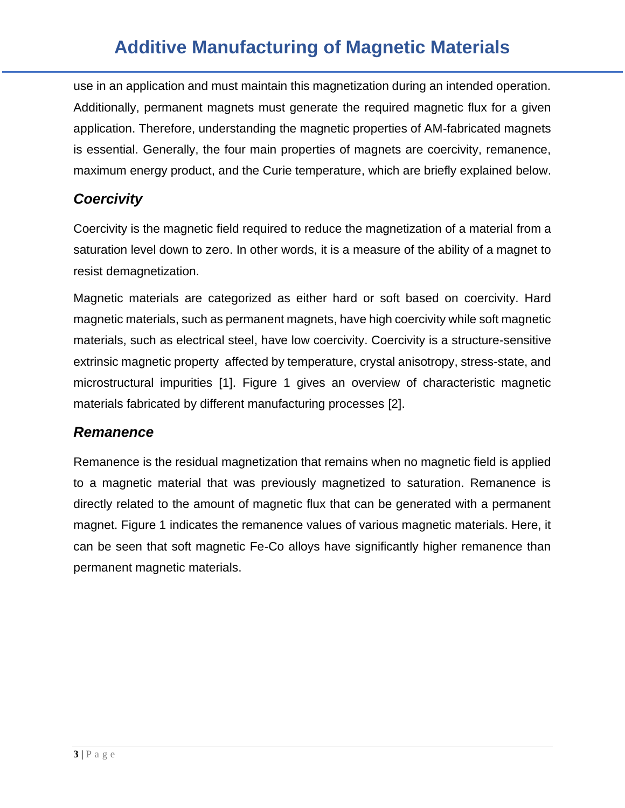use in an application and must maintain this magnetization during an intended operation. Additionally, permanent magnets must generate the required magnetic flux for a given application. Therefore, understanding the magnetic properties of AM-fabricated magnets is essential. Generally, the four main properties of magnets are coercivity, remanence, maximum energy product, and the Curie temperature, which are briefly explained below.

### *Coercivity*

Coercivity is the magnetic field required to reduce the magnetization of a material from a saturation level down to zero. In other words, it is a measure of the ability of a magnet to resist demagnetization.

Magnetic materials are categorized as either hard or soft based on coercivity. Hard magnetic materials, such as permanent magnets, have high coercivity while soft magnetic materials, such as electrical steel, have low coercivity. Coercivity is a structure-sensitive extrinsic magnetic property affected by temperature, crystal anisotropy, stress-state, and microstructural impurities [1]. Figure 1 gives an overview of characteristic magnetic materials fabricated by different manufacturing processes [2].

### *Remanence*

Remanence is the residual magnetization that remains when no magnetic field is applied to a magnetic material that was previously magnetized to saturation. Remanence is directly related to the amount of magnetic flux that can be generated with a permanent magnet. Figure 1 indicates the remanence values of various magnetic materials. Here, it can be seen that soft magnetic Fe-Co alloys have significantly higher remanence than permanent magnetic materials.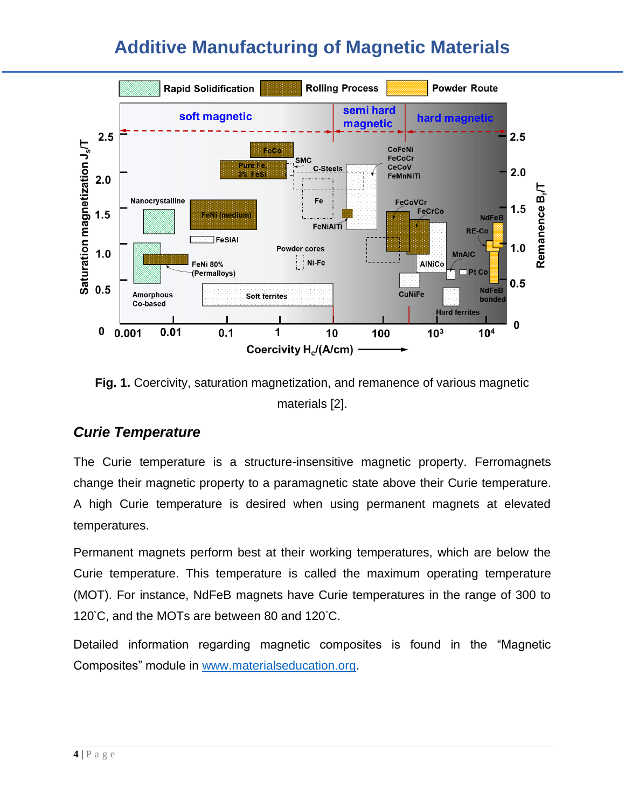

**Fig. 1.** Coercivity, saturation magnetization, and remanence of various magnetic materials [2].

### *Curie Temperature*

The Curie temperature is a structure-insensitive magnetic property. Ferromagnets change their magnetic property to a paramagnetic state above their Curie temperature. A high Curie temperature is desired when using permanent magnets at elevated temperatures.

Permanent magnets perform best at their working temperatures, which are below the Curie temperature. This temperature is called the maximum operating temperature (MOT). For instance, NdFeB magnets have Curie temperatures in the range of 300 to 120°C, and the MOTs are between 80 and 120°C.

Detailed information regarding magnetic composites is found in the "Magnetic Composites" module in [www.materialseducation.org.](about:blank)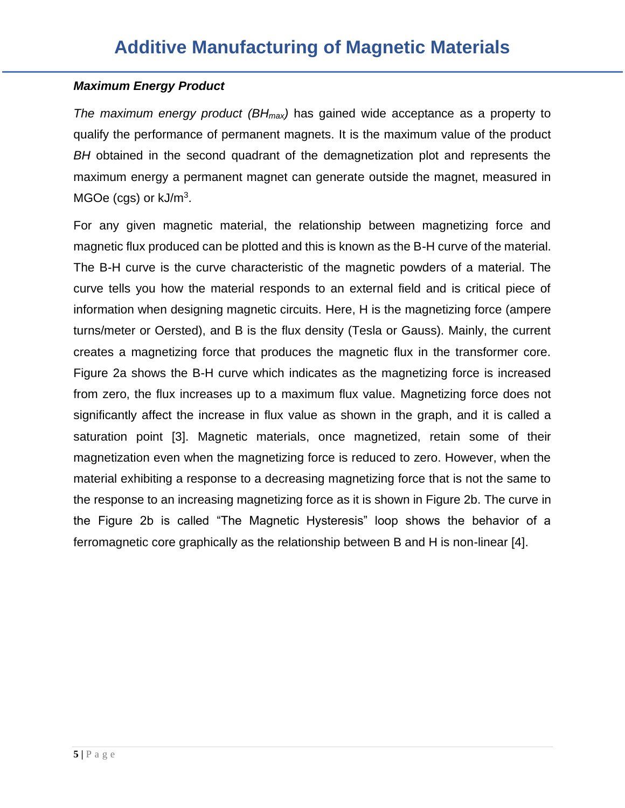#### *Maximum Energy Product*

*The maximum energy product (BHmax)* has gained wide acceptance as a property to qualify the performance of permanent magnets. It is the maximum value of the product *BH* obtained in the second quadrant of the demagnetization plot and represents the maximum energy a permanent magnet can generate outside the magnet, measured in  $MGOe$  (cgs) or  $kJ/m<sup>3</sup>$ .

For any given magnetic material, the relationship between magnetizing force and magnetic flux produced can be plotted and this is known as the B-H curve of the material. The B-H curve is the curve characteristic of the magnetic powders of a material. The curve tells you how the material responds to an external field and is critical piece of information when designing magnetic circuits. Here, H is the magnetizing force (ampere turns/meter or Oersted), and B is the flux density (Tesla or Gauss). Mainly, the current creates a magnetizing force that produces the magnetic flux in the transformer core. Figure 2a shows the B-H curve which indicates as the magnetizing force is increased from zero, the flux increases up to a maximum flux value. Magnetizing force does not significantly affect the increase in flux value as shown in the graph, and it is called a saturation point [3]. Magnetic materials, once magnetized, retain some of their magnetization even when the magnetizing force is reduced to zero. However, when the material exhibiting a response to a decreasing magnetizing force that is not the same to the response to an increasing magnetizing force as it is shown in Figure 2b. The curve in the Figure 2b is called "The Magnetic Hysteresis" loop shows the behavior of a ferromagnetic core graphically as the relationship between B and H is non-linear [4].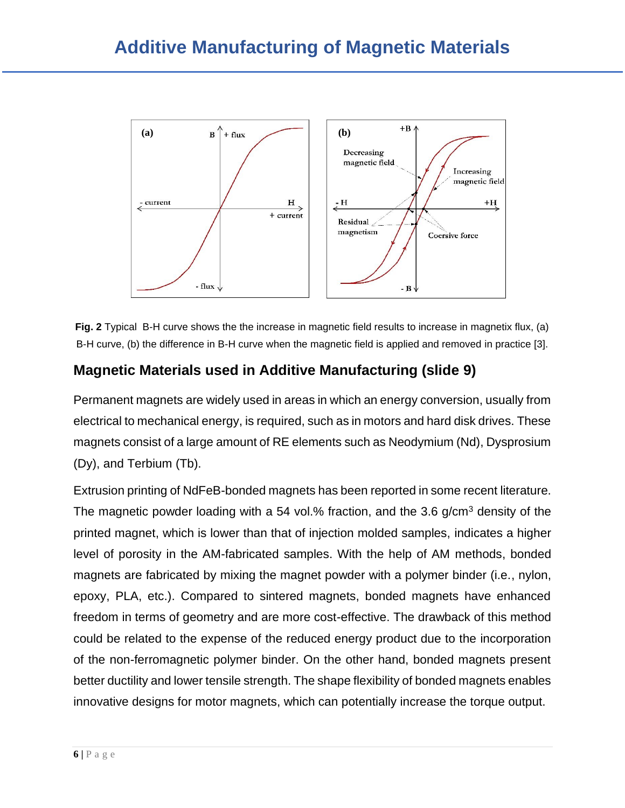

**Fig. 2** Typical B-H curve shows the the increase in magnetic field results to increase in magnetix flux, (a) B-H curve, (b) the difference in B-H curve when the magnetic field is applied and removed in practice [3].

### **Magnetic Materials used in Additive Manufacturing (slide 9)**

Permanent magnets are widely used in areas in which an energy conversion, usually from electrical to mechanical energy, is required, such as in motors and hard disk drives. These magnets consist of a large amount of RE elements such as Neodymium (Nd), Dysprosium (Dy), and Terbium (Tb).

Extrusion printing of NdFeB-bonded magnets has been reported in some recent literature. The magnetic powder loading with a 54 vol.% fraction, and the 3.6  $q/cm<sup>3</sup>$  density of the printed magnet, which is lower than that of injection molded samples, indicates a higher level of porosity in the AM-fabricated samples. With the help of AM methods, bonded magnets are fabricated by mixing the magnet powder with a polymer binder (i.e., nylon, epoxy, PLA, etc.). Compared to sintered magnets, bonded magnets have enhanced freedom in terms of geometry and are more cost-effective. The drawback of this method could be related to the expense of the reduced energy product due to the incorporation of the non-ferromagnetic polymer binder. On the other hand, bonded magnets present better ductility and lower tensile strength. The shape flexibility of bonded magnets enables innovative designs for motor magnets, which can potentially increase the torque output.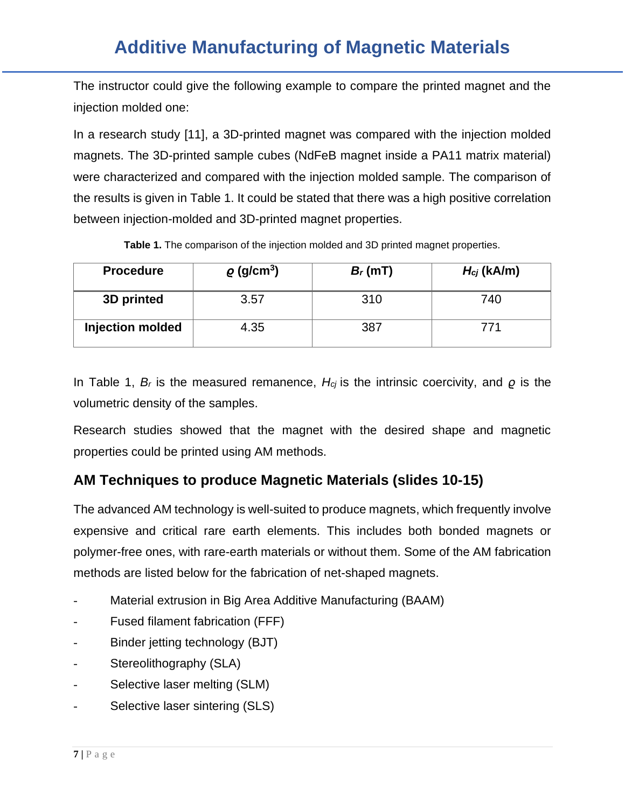The instructor could give the following example to compare the printed magnet and the injection molded one:

In a research study [11], a 3D-printed magnet was compared with the injection molded magnets. The 3D-printed sample cubes (NdFeB magnet inside a PA11 matrix material) were characterized and compared with the injection molded sample. The comparison of the results is given in Table 1. It could be stated that there was a high positive correlation between injection-molded and 3D-printed magnet properties.

| <b>Procedure</b> | $\rho$ (g/cm <sup>3</sup> ) | $B_r(mT)$ | $H_{cj}$ (kA/m) |
|------------------|-----------------------------|-----------|-----------------|
| 3D printed       | 3.57                        | 310       | 740             |
| Injection molded | 4.35                        | 387       |                 |

In Table 1, *B<sup>r</sup>* is the measured remanence, *Hcj* is the intrinsic coercivity, and *ϱ* is the volumetric density of the samples.

Research studies showed that the magnet with the desired shape and magnetic properties could be printed using AM methods.

### **AM Techniques to produce Magnetic Materials (slides 10-15)**

The advanced AM technology is well-suited to produce magnets, which frequently involve expensive and critical rare earth elements. This includes both bonded magnets or polymer-free ones, with rare-earth materials or without them. Some of the AM fabrication methods are listed below for the fabrication of net-shaped magnets.

- Material extrusion in Big Area Additive Manufacturing (BAAM)
- Fused filament fabrication (FFF)
- Binder jetting technology (BJT)
- Stereolithography (SLA)
- Selective laser melting (SLM)
- Selective laser sintering (SLS)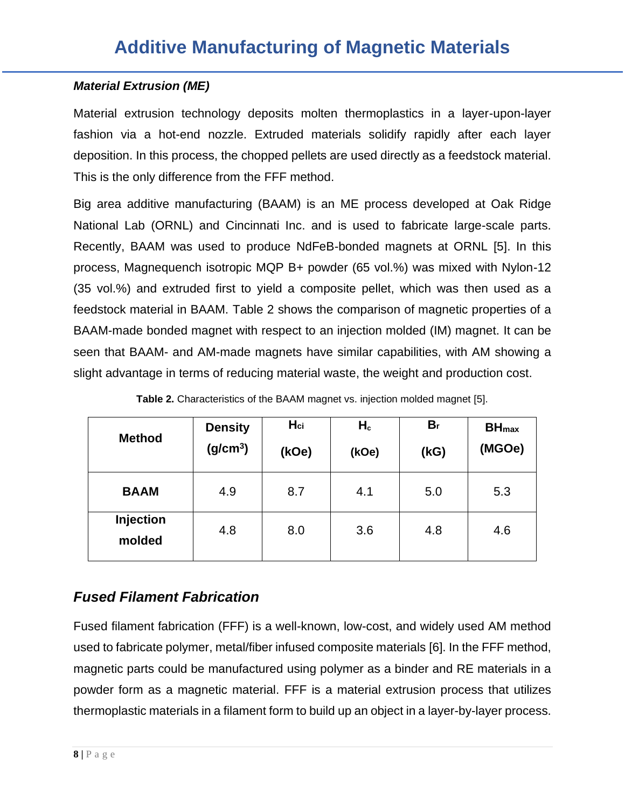#### *Material Extrusion (ME)*

Material extrusion technology deposits molten thermoplastics in a layer-upon-layer fashion via a hot-end nozzle. Extruded materials solidify rapidly after each layer deposition. In this process, the chopped pellets are used directly as a feedstock material. This is the only difference from the FFF method.

Big area additive manufacturing (BAAM) is an ME process developed at Oak Ridge National Lab (ORNL) and Cincinnati Inc. and is used to fabricate large-scale parts. Recently, BAAM was used to produce NdFeB-bonded magnets at ORNL [5]. In this process, Magnequench isotropic MQP B+ powder (65 vol.%) was mixed with Nylon-12 (35 vol.%) and extruded first to yield a composite pellet, which was then used as a feedstock material in BAAM. Table 2 shows the comparison of magnetic properties of a BAAM-made bonded magnet with respect to an injection molded (IM) magnet. It can be seen that BAAM- and AM-made magnets have similar capabilities, with AM showing a slight advantage in terms of reducing material waste, the weight and production cost.

| <b>Method</b>              | <b>Density</b><br>(g/cm <sup>3</sup> ) | $H_{ci}$<br>(kOe) | $H_c$<br>(kOe) | B <sub>r</sub><br>(KG) | <b>BH</b> <sub>max</sub><br>(MGOe) |
|----------------------------|----------------------------------------|-------------------|----------------|------------------------|------------------------------------|
| <b>BAAM</b>                | 4.9                                    | 8.7               | 4.1            | 5.0                    | 5.3                                |
| <b>Injection</b><br>molded | 4.8                                    | 8.0               | 3.6            | 4.8                    | 4.6                                |

**Table 2.** Characteristics of the BAAM magnet vs. injection molded magnet [5].

### *Fused Filament Fabrication*

Fused filament fabrication (FFF) is a well-known, low-cost, and widely used AM method used to fabricate polymer, metal/fiber infused composite materials [6]. In the FFF method, magnetic parts could be manufactured using polymer as a binder and RE materials in a powder form as a magnetic material. FFF is a material extrusion process that utilizes thermoplastic materials in a filament form to build up an object in a layer-by-layer process.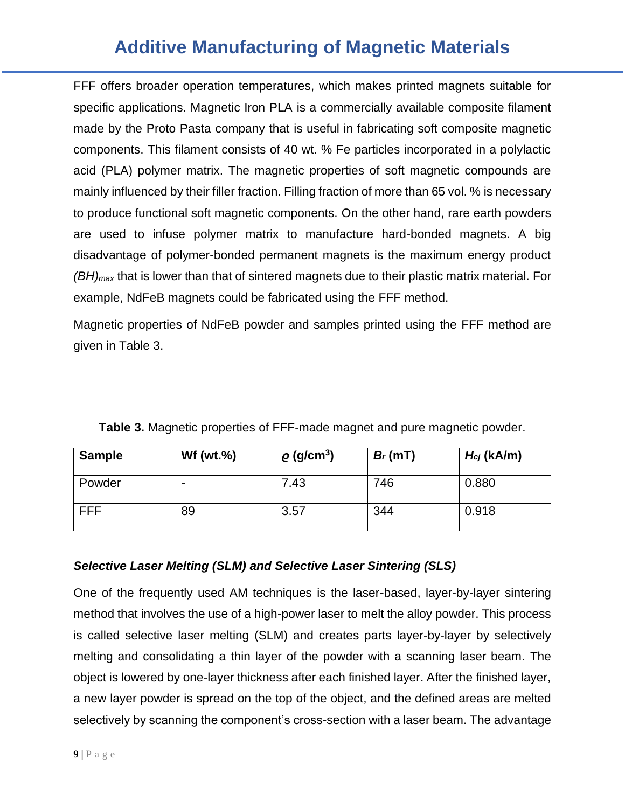FFF offers broader operation temperatures, which makes printed magnets suitable for specific applications. Magnetic Iron PLA is a commercially available composite filament made by the Proto Pasta company that is useful in fabricating soft composite magnetic components. This filament consists of 40 wt. % Fe particles incorporated in a polylactic acid (PLA) polymer matrix. The magnetic properties of soft magnetic compounds are mainly influenced by their filler fraction. Filling fraction of more than 65 vol. % is necessary to produce functional soft magnetic components. On the other hand, rare earth powders are used to infuse polymer matrix to manufacture hard-bonded magnets. A big disadvantage of polymer-bonded permanent magnets is the maximum energy product *(BH)max* that is lower than that of sintered magnets due to their plastic matrix material. For example, NdFeB magnets could be fabricated using the FFF method.

Magnetic properties of NdFeB powder and samples printed using the FFF method are given in Table 3.

| <b>Sample</b> | $Wf(wt.\%)$              | $\rho$ (g/cm <sup>3</sup> ) | $B_r$ (mT) | $H_{cj}$ (kA/m) |
|---------------|--------------------------|-----------------------------|------------|-----------------|
| Powder        | $\overline{\phantom{0}}$ | 7.43                        | 746        | 0.880           |
| <b>FFF</b>    | 89                       | 3.57                        | 344        | 0.918           |

**Table 3.** Magnetic properties of FFF-made magnet and pure magnetic powder.

### *Selective Laser Melting (SLM) and Selective Laser Sintering (SLS)*

One of the frequently used AM techniques is the laser-based, layer-by-layer sintering method that involves the use of a high-power laser to melt the alloy powder. This process is called selective laser melting (SLM) and creates parts layer-by-layer by selectively melting and consolidating a thin layer of the powder with a scanning laser beam. The object is lowered by one-layer thickness after each finished layer. After the finished layer, a new layer powder is spread on the top of the object, and the defined areas are melted selectively by scanning the component's cross-section with a laser beam. The advantage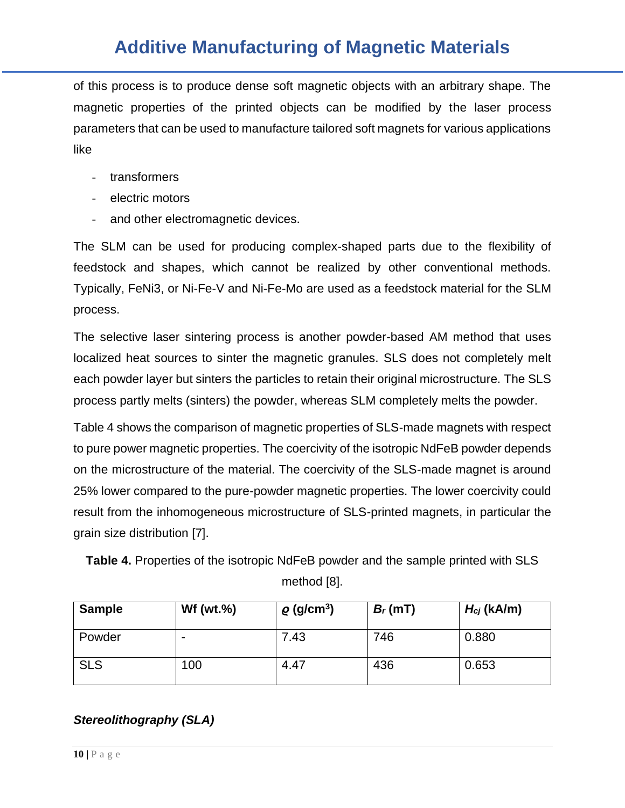of this process is to produce dense soft magnetic objects with an arbitrary shape. The magnetic properties of the printed objects can be modified by the laser process parameters that can be used to manufacture tailored soft magnets for various applications like

- transformers
- electric motors
- and other electromagnetic devices.

The SLM can be used for producing complex-shaped parts due to the flexibility of feedstock and shapes, which cannot be realized by other conventional methods. Typically, FeNi3, or Ni-Fe-V and Ni-Fe-Mo are used as a feedstock material for the SLM process.

The selective laser sintering process is another powder-based AM method that uses localized heat sources to sinter the magnetic granules. SLS does not completely melt each powder layer but sinters the particles to retain their original microstructure. The SLS process partly melts (sinters) the powder, whereas SLM completely melts the powder.

Table 4 shows the comparison of magnetic properties of SLS-made magnets with respect to pure power magnetic properties. The coercivity of the isotropic NdFeB powder depends on the microstructure of the material. The coercivity of the SLS-made magnet is around 25% lower compared to the pure-powder magnetic properties. The lower coercivity could result from the inhomogeneous microstructure of SLS-printed magnets, in particular the grain size distribution [7].

**Table 4.** Properties of the isotropic NdFeB powder and the sample printed with SLS method [8].

| <b>Sample</b> | Wf (wt. $%$ )            | $\rho$ (g/cm <sup>3</sup> ) | $B_r(mT)$ | $H_{cj}$ (kA/m) |
|---------------|--------------------------|-----------------------------|-----------|-----------------|
| Powder        | $\overline{\phantom{0}}$ | 7.43                        | 746       | 0.880           |
| <b>SLS</b>    | 100                      | 4.47                        | 436       | 0.653           |

#### *Stereolithography (SLA)*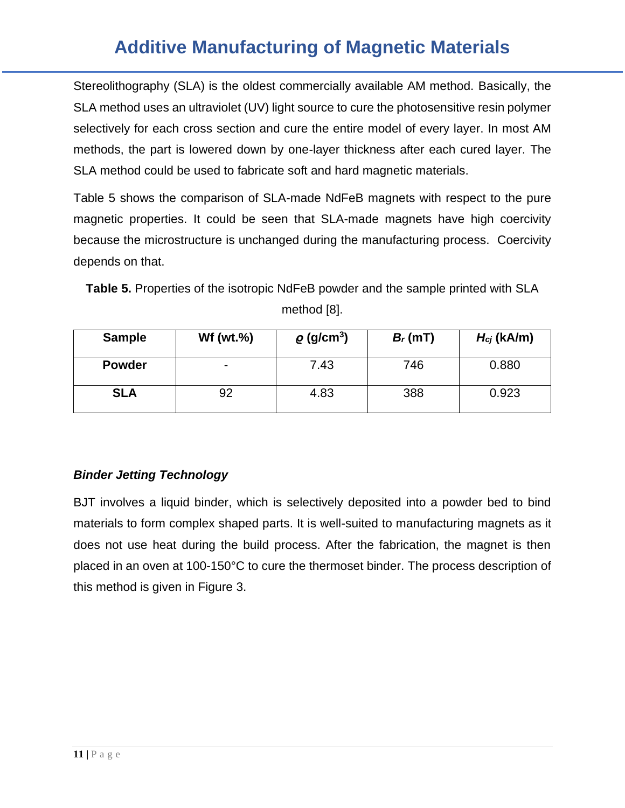Stereolithography (SLA) is the oldest commercially available AM method. Basically, the SLA method uses an ultraviolet (UV) light source to cure the photosensitive resin polymer selectively for each cross section and cure the entire model of every layer. In most AM methods, the part is lowered down by one-layer thickness after each cured layer. The SLA method could be used to fabricate soft and hard magnetic materials.

Table 5 shows the comparison of SLA-made NdFeB magnets with respect to the pure magnetic properties. It could be seen that SLA-made magnets have high coercivity because the microstructure is unchanged during the manufacturing process. Coercivity depends on that.

**Table 5.** Properties of the isotropic NdFeB powder and the sample printed with SLA method [8].

| <b>Sample</b> | $Wf(wt.\%)$ | $\rho$ (g/cm <sup>3</sup> ) | $B_r(mT)$ | $H_{cj}$ (kA/m) |
|---------------|-------------|-----------------------------|-----------|-----------------|
| <b>Powder</b> |             | 7.43                        | 746       | 0.880           |
| <b>SLA</b>    | 92          | 4.83                        | 388       | 0.923           |

### *Binder Jetting Technology*

BJT involves a liquid binder, which is selectively deposited into a powder bed to bind materials to form complex shaped parts. It is well-suited to manufacturing magnets as it does not use heat during the build process. After the fabrication, the magnet is then placed in an oven at 100-150°C to cure the thermoset binder. The process description of this method is given in Figure 3.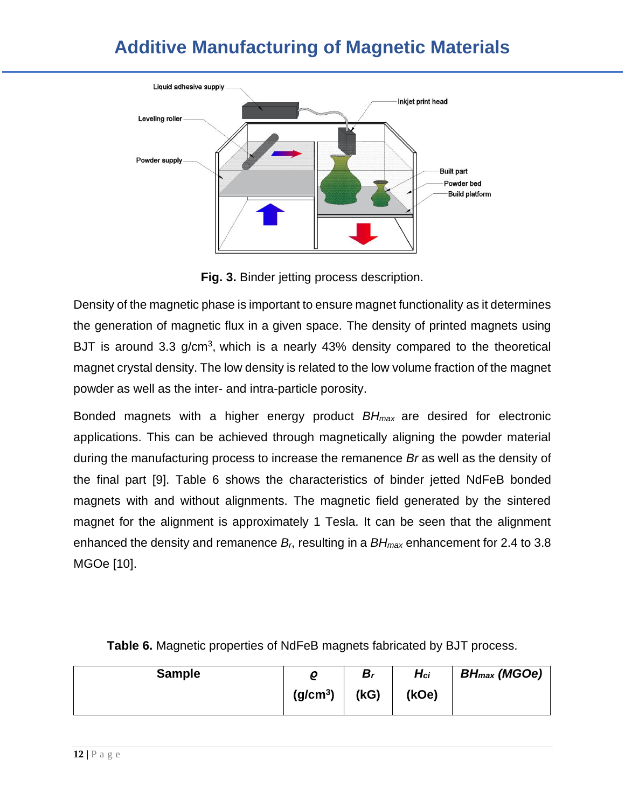

**Fig. 3.** Binder jetting process description.

Density of the magnetic phase is important to ensure magnet functionality as it determines the generation of magnetic flux in a given space. The density of printed magnets using BJT is around 3.3 g/cm<sup>3</sup>, which is a nearly 43% density compared to the theoretical magnet crystal density. The low density is related to the low volume fraction of the magnet powder as well as the inter- and intra-particle porosity.

Bonded magnets with a higher energy product *BHmax* are desired for electronic applications. This can be achieved through magnetically aligning the powder material during the manufacturing process to increase the remanence *Br* as well as the density of the final part [9]. Table 6 shows the characteristics of binder jetted NdFeB bonded magnets with and without alignments. The magnetic field generated by the sintered magnet for the alignment is approximately 1 Tesla. It can be seen that the alignment enhanced the density and remanence *Br*, resulting in a *BHmax* enhancement for 2.4 to 3.8 MGOe [10].

| <b>Sample</b> | ρ                    | $B_r$ | $H_{ci}$ | <b>BH</b> <sub>max</sub> (MGOe) |
|---------------|----------------------|-------|----------|---------------------------------|
|               | (g/cm <sup>3</sup> ) | (KG)  | (kOe)    |                                 |

**Table 6.** Magnetic properties of NdFeB magnets fabricated by BJT process.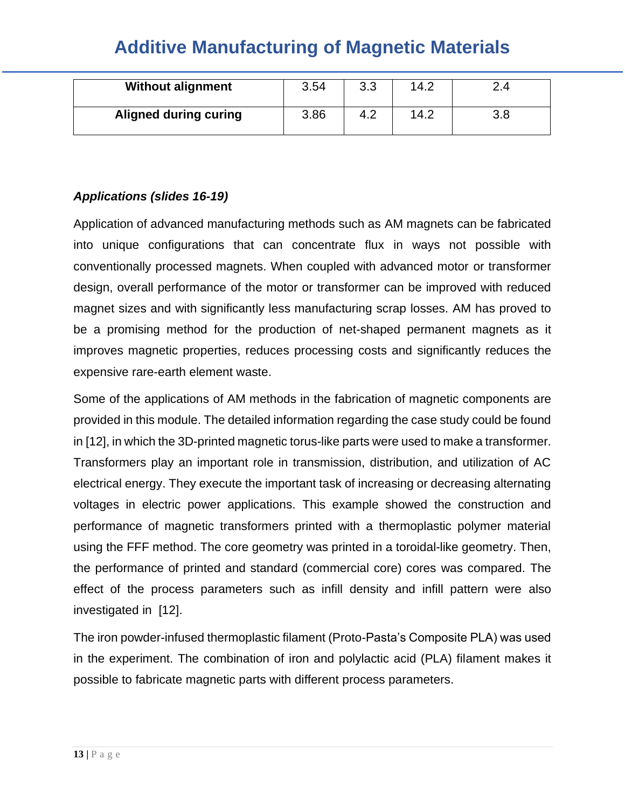| <b>Additive Manufacturing Of Magnetic Materials</b> |       |      |  |
|-----------------------------------------------------|-------|------|--|
|                                                     |       |      |  |
| <b>Without alignment</b>                            | -3.54 | 14 2 |  |

| <b>Without alignment</b>     | 3.54 | 3.3 | 14.2 | 2.4 |
|------------------------------|------|-----|------|-----|
| <b>Aligned during curing</b> | 3.86 | 4.2 | 14.2 | 3.8 |

### *Applications (slides 16-19)*

Application of advanced manufacturing methods such as AM magnets can be fabricated into unique configurations that can concentrate flux in ways not possible with conventionally processed magnets. When coupled with advanced motor or transformer design, overall performance of the motor or transformer can be improved with reduced magnet sizes and with significantly less manufacturing scrap losses. AM has proved to be a promising method for the production of net-shaped permanent magnets as it improves magnetic properties, reduces processing costs and significantly reduces the expensive rare-earth element waste.

Some of the applications of AM methods in the fabrication of magnetic components are provided in this module. The detailed information regarding the case study could be found in [12], in which the 3D-printed magnetic torus-like parts were used to make a transformer. Transformers play an important role in transmission, distribution, and utilization of AC electrical energy. They execute the important task of increasing or decreasing alternating voltages in electric power applications. This example showed the construction and performance of magnetic transformers printed with a thermoplastic polymer material using the FFF method. The core geometry was printed in a toroidal-like geometry. Then, the performance of printed and standard (commercial core) cores was compared. The effect of the process parameters such as infill density and infill pattern were also investigated in [12].

The iron powder-infused thermoplastic filament (Proto-Pasta's Composite PLA) was used in the experiment. The combination of iron and polylactic acid (PLA) filament makes it possible to fabricate magnetic parts with different process parameters.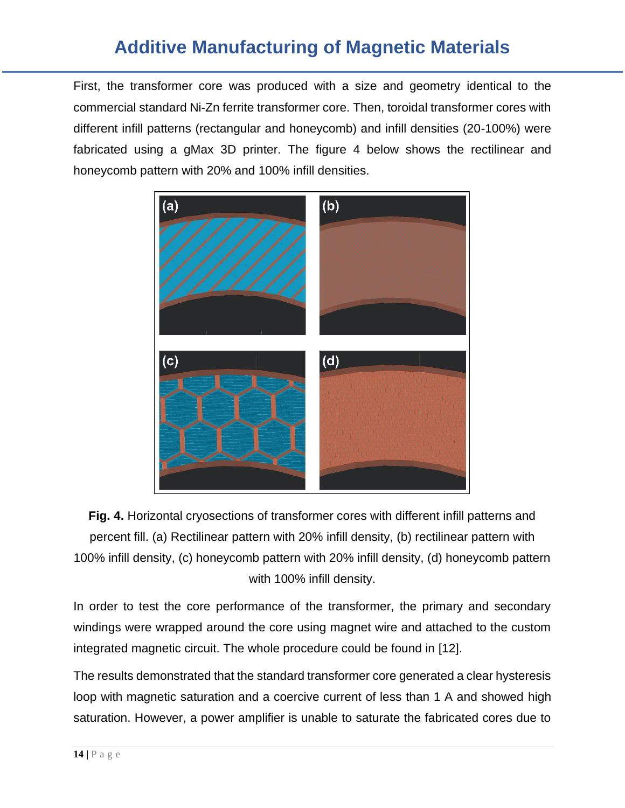First, the transformer core was produced with a size and geometry identical to the commercial standard Ni-Zn ferrite transformer core. Then, toroidal transformer cores with different infill patterns (rectangular and honeycomb) and infill densities (20-100%) were fabricated using a gMax 3D printer. The figure 4 below shows the rectilinear and honeycomb pattern with 20% and 100% infill densities.



**Fig. 4.** Horizontal cryosections of transformer cores with different infill patterns and percent fill. (a) Rectilinear pattern with 20% infill density, (b) rectilinear pattern with 100% infill density, (c) honeycomb pattern with 20% infill density, (d) honeycomb pattern with 100% infill density.

In order to test the core performance of the transformer, the primary and secondary windings were wrapped around the core using magnet wire and attached to the custom integrated magnetic circuit. The whole procedure could be found in [12].

The results demonstrated that the standard transformer core generated a clear hysteresis loop with magnetic saturation and a coercive current of less than 1 A and showed high saturation. However, a power amplifier is unable to saturate the fabricated cores due to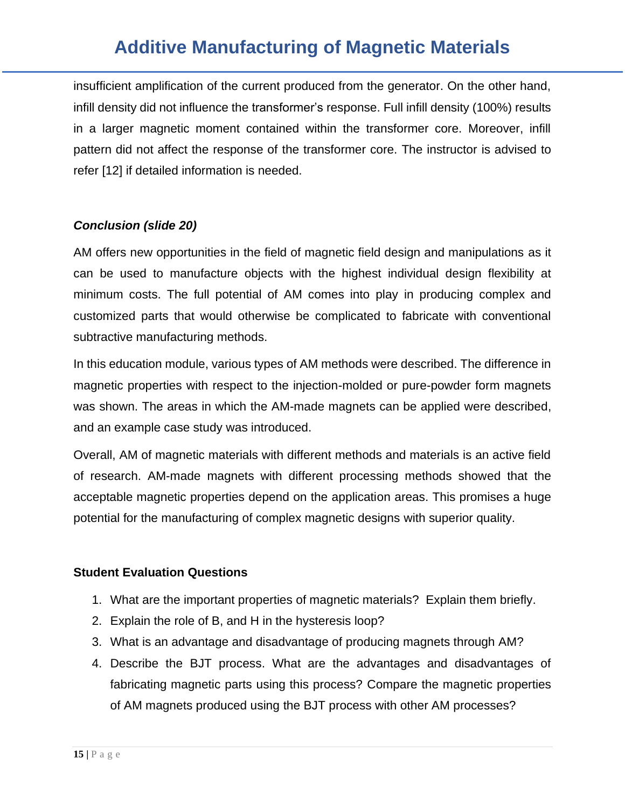insufficient amplification of the current produced from the generator. On the other hand, infill density did not influence the transformer's response. Full infill density (100%) results in a larger magnetic moment contained within the transformer core. Moreover, infill pattern did not affect the response of the transformer core. The instructor is advised to refer [12] if detailed information is needed.

#### *Conclusion (slide 20)*

AM offers new opportunities in the field of magnetic field design and manipulations as it can be used to manufacture objects with the highest individual design flexibility at minimum costs. The full potential of AM comes into play in producing complex and customized parts that would otherwise be complicated to fabricate with conventional subtractive manufacturing methods.

In this education module, various types of AM methods were described. The difference in magnetic properties with respect to the injection-molded or pure-powder form magnets was shown. The areas in which the AM-made magnets can be applied were described, and an example case study was introduced.

Overall, AM of magnetic materials with different methods and materials is an active field of research. AM-made magnets with different processing methods showed that the acceptable magnetic properties depend on the application areas. This promises a huge potential for the manufacturing of complex magnetic designs with superior quality.

#### **Student Evaluation Questions**

- 1. What are the important properties of magnetic materials? Explain them briefly.
- 2. Explain the role of B, and H in the hysteresis loop?
- 3. What is an advantage and disadvantage of producing magnets through AM?
- 4. Describe the BJT process. What are the advantages and disadvantages of fabricating magnetic parts using this process? Compare the magnetic properties of AM magnets produced using the BJT process with other AM processes?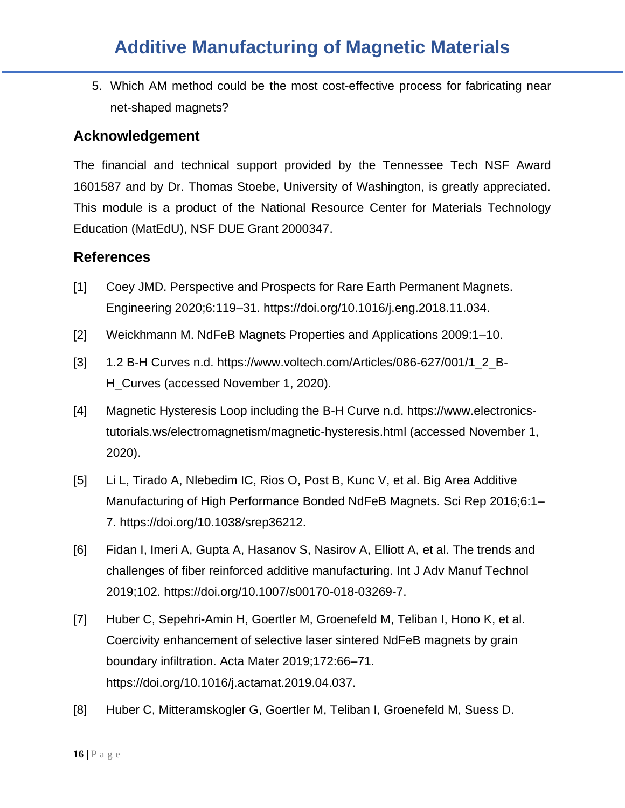5. Which AM method could be the most cost-effective process for fabricating near net-shaped magnets?

#### **Acknowledgement**

The financial and technical support provided by the Tennessee Tech NSF Award 1601587 and by Dr. Thomas Stoebe, University of Washington, is greatly appreciated. This module is a product of the National Resource Center for Materials Technology Education (MatEdU), NSF DUE Grant 2000347.

#### **References**

- [1] Coey JMD. Perspective and Prospects for Rare Earth Permanent Magnets. Engineering 2020;6:119–31. https://doi.org/10.1016/j.eng.2018.11.034.
- [2] Weickhmann M. NdFeB Magnets Properties and Applications 2009:1–10.
- [3] 1.2 B-H Curves n.d. https://www.voltech.com/Articles/086-627/001/1\_2\_B-H\_Curves (accessed November 1, 2020).
- [4] Magnetic Hysteresis Loop including the B-H Curve n.d. https://www.electronicstutorials.ws/electromagnetism/magnetic-hysteresis.html (accessed November 1, 2020).
- [5] Li L, Tirado A, Nlebedim IC, Rios O, Post B, Kunc V, et al. Big Area Additive Manufacturing of High Performance Bonded NdFeB Magnets. Sci Rep 2016;6:1– 7. https://doi.org/10.1038/srep36212.
- [6] Fidan I, Imeri A, Gupta A, Hasanov S, Nasirov A, Elliott A, et al. The trends and challenges of fiber reinforced additive manufacturing. Int J Adv Manuf Technol 2019;102. https://doi.org/10.1007/s00170-018-03269-7.
- [7] Huber C, Sepehri-Amin H, Goertler M, Groenefeld M, Teliban I, Hono K, et al. Coercivity enhancement of selective laser sintered NdFeB magnets by grain boundary infiltration. Acta Mater 2019;172:66–71. https://doi.org/10.1016/j.actamat.2019.04.037.
- [8] Huber C, Mitteramskogler G, Goertler M, Teliban I, Groenefeld M, Suess D.